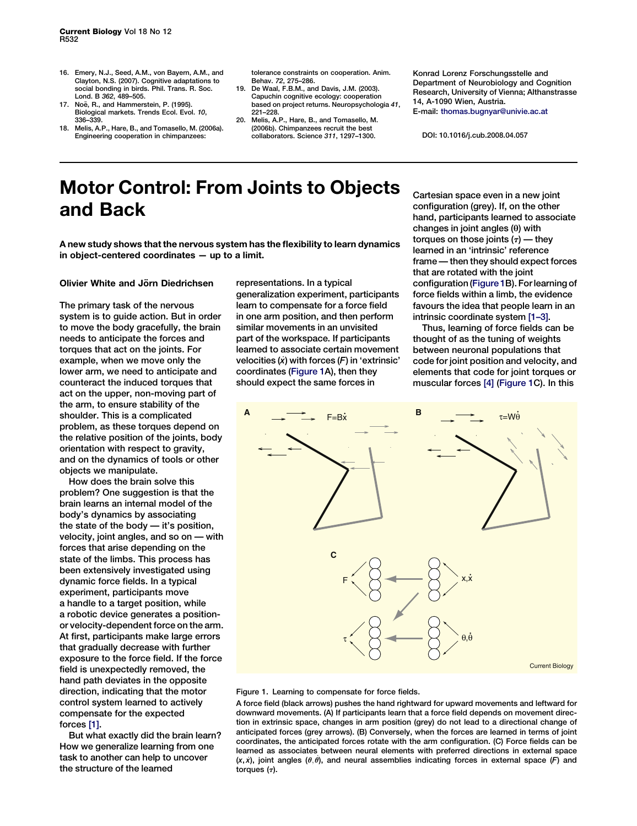- <span id="page-0-0"></span>16. Emery, N.J., Seed, A.M., von Bayern, A.M., and Clayton, N.S. (2007). Cognitive adaptations to social bonding in birds. Phil. Trans. R. Soc. Lond. B 362, 489–505.
- 17. Noë, R., and Hammerstein, P. (1995). Biological markets. Trends Ecol. Evol. 10, 336–339.
- 18. Melis, A.P., Hare, B., and Tomasello, M. (2006a). Engineering cooperation in chimpanzees:

tolerance constraints on cooperation. Anim. Behav. 72, 275–286.

- 19. De Waal, F.B.M., and Davis, J.M. (2003). Capuchin cognitive ecology: cooperation based on project returns. Neuropsychologia 41, 221–228. 20. Melis, A.P., Hare, B., and Tomasello, M.
- (2006b). Chimpanzees recruit the best collaborators. Science 311, 1297–1300.

Konrad Lorenz Forschungsstelle and Department of Neurobiology and Cognition Research, University of Vienna; Althanstrasse 14, A-1090 Wien, Austria. E-mail: thomas.bugnyar@univie.ac.at

DOI: 10.1016/j.cub.2008.04.057

## Motor Control: From Joints to Objects and Back

A new study shows that the nervous system has the flexibility to learn dynamics in object-centered coordinates — up to a limit.

## Olivier White and Jörn Diedrichsen

The primary task of the nervous system is to guide action. But in order to move the body gracefully, the brain needs to anticipate the forces and torques that act on the joints. For example, when we move only the lower arm, we need to anticipate and counteract the induced torques that act on the upper, non-moving part of the arm, to ensure stability of the shoulder. This is a complicated problem, as these torques depend on the relative position of the joints, body orientation with respect to gravity, and on the dynamics of tools or other objects we manipulate.

How does the brain solve this problem? One suggestion is that the brain learns an internal model of the body's dynamics by associating the state of the body — it's position, velocity, joint angles, and so on — with forces that arise depending on the state of the limbs. This process has been extensively investigated using dynamic force fields. In a typical experiment, participants move a handle to a target position, while a robotic device generates a positionor velocity-dependent force on the arm. At first, participants make large errors that gradually decrease with further exposure to the force field. If the force field is unexpectedly removed, the hand path deviates in the opposite direction, indicating that the motor control system learned to actively compensate for the expected forces [\[1\].](#page-1-0)

But what exactly did the brain learn? How we generalize learning from one task to another can help to uncover the structure of the learned

representations. In a typical generalization experiment, participants learn to compensate for a force field in one arm position, and then perform similar movements in an unvisited part of the workspace. If participants learned to associate certain movement velocities  $(x)$  with forces  $(F)$  in 'extrinsic' coordinates (Figure 1A), then they should expect the same forces in

Cartesian space even in a new joint configuration (grey). If, on the other hand, participants learned to associate changes in joint angles  $(\theta)$  with torques on those joints  $(\tau)$  — they learned in an 'intrinsic' reference frame — then they should expect forces that are rotated with the joint configuration (Figure 1B). For learning of force fields within a limb, the evidence favours the idea that people learn in an intrinsic coordinate system [\[1–3\]](#page-1-0).

Thus, learning of force fields can be thought of as the tuning of weights between neuronal populations that code for joint position and velocity, and elements that code for joint torques or muscular forces [\[4\]](#page-1-0) (Figure 1C). In this



Figure 1. Learning to compensate for force fields.

A force field (black arrows) pushes the hand rightward for upward movements and leftward for downward movements. (A) If participants learn that a force field depends on movement direction in extrinsic space, changes in arm position (grey) do not lead to a directional change of anticipated forces (grey arrows). (B) Conversely, when the forces are learned in terms of joint coordinates, the anticipated forces rotate with the arm configuration. (C) Force fields can be learned as associates between neural elements with preferred directions in external space  $(x, x)$ , joint angles  $(\theta, \dot{\theta})$ , and neural assemblies indicating forces in external space (F) and torques  $(\tau)$ .